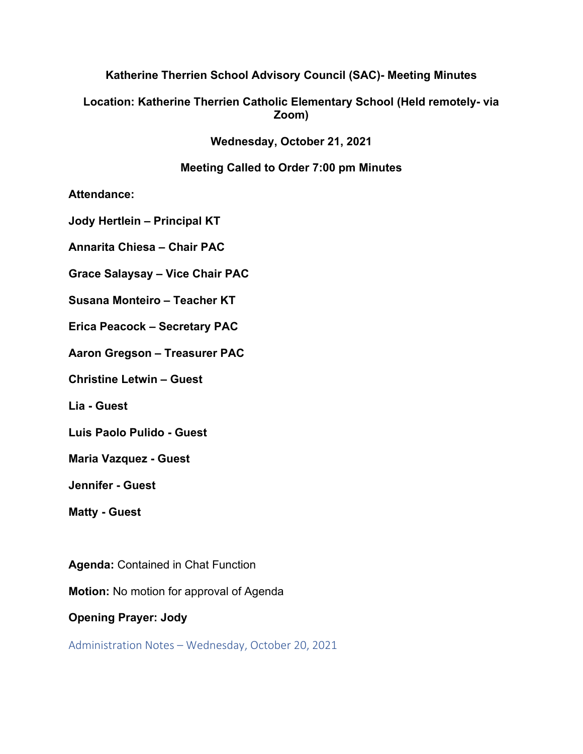# **Katherine Therrien School Advisory Council (SAC)- Meeting Minutes**

# **Location: Katherine Therrien Catholic Elementary School (Held remotely- via Zoom)**

**Wednesday, October 21, 2021**

# **Meeting Called to Order 7:00 pm Minutes**

**Attendance:** 

**Jody Hertlein – Principal KT**

**Annarita Chiesa – Chair PAC**

**Grace Salaysay – Vice Chair PAC**

**Susana Monteiro – Teacher KT**

**Erica Peacock – Secretary PAC**

**Aaron Gregson – Treasurer PAC**

**Christine Letwin – Guest**

**Lia - Guest**

**Luis Paolo Pulido - Guest**

**Maria Vazquez - Guest**

**Jennifer - Guest**

**Matty - Guest**

**Agenda:** Contained in Chat Function

**Motion:** No motion for approval of Agenda

**Opening Prayer: Jody**

Administration Notes – Wednesday, October 20, 2021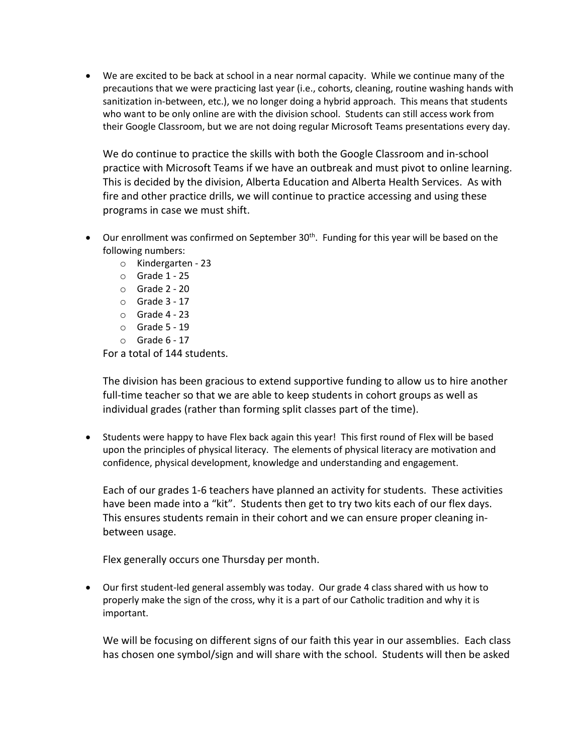• We are excited to be back at school in a near normal capacity. While we continue many of the precautions that we were practicing last year (i.e., cohorts, cleaning, routine washing hands with sanitization in-between, etc.), we no longer doing a hybrid approach. This means that students who want to be only online are with the division school. Students can still access work from their Google Classroom, but we are not doing regular Microsoft Teams presentations every day.

We do continue to practice the skills with both the Google Classroom and in-school practice with Microsoft Teams if we have an outbreak and must pivot to online learning. This is decided by the division, Alberta Education and Alberta Health Services. As with fire and other practice drills, we will continue to practice accessing and using these programs in case we must shift.

- Our enrollment was confirmed on September  $30<sup>th</sup>$ . Funding for this year will be based on the following numbers:
	- o Kindergarten 23
	- o Grade 1 25
	- o Grade 2 20
	- $\circ$  Grade 3 17
	- o Grade 4 23
	- o Grade 5 19
	- $\circ$  Grade 6 17

For a total of 144 students.

The division has been gracious to extend supportive funding to allow us to hire another full-time teacher so that we are able to keep students in cohort groups as well as individual grades (rather than forming split classes part of the time).

• Students were happy to have Flex back again this year! This first round of Flex will be based upon the principles of physical literacy. The elements of physical literacy are motivation and confidence, physical development, knowledge and understanding and engagement.

Each of our grades 1-6 teachers have planned an activity for students. These activities have been made into a "kit". Students then get to try two kits each of our flex days. This ensures students remain in their cohort and we can ensure proper cleaning inbetween usage.

Flex generally occurs one Thursday per month.

• Our first student-led general assembly was today. Our grade 4 class shared with us how to properly make the sign of the cross, why it is a part of our Catholic tradition and why it is important.

We will be focusing on different signs of our faith this year in our assemblies. Each class has chosen one symbol/sign and will share with the school. Students will then be asked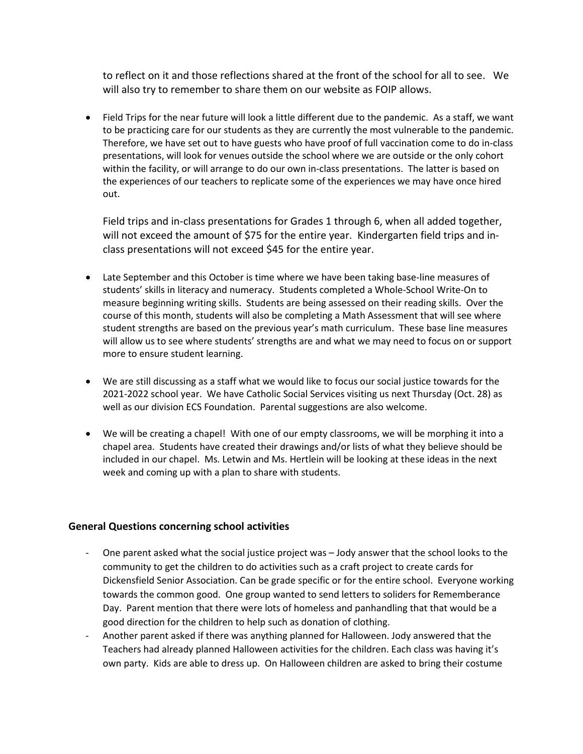to reflect on it and those reflections shared at the front of the school for all to see. We will also try to remember to share them on our website as FOIP allows.

• Field Trips for the near future will look a little different due to the pandemic. As a staff, we want to be practicing care for our students as they are currently the most vulnerable to the pandemic. Therefore, we have set out to have guests who have proof of full vaccination come to do in-class presentations, will look for venues outside the school where we are outside or the only cohort within the facility, or will arrange to do our own in-class presentations. The latter is based on the experiences of our teachers to replicate some of the experiences we may have once hired out.

Field trips and in-class presentations for Grades 1 through 6, when all added together, will not exceed the amount of \$75 for the entire year. Kindergarten field trips and inclass presentations will not exceed \$45 for the entire year.

- Late September and this October is time where we have been taking base-line measures of students' skills in literacy and numeracy. Students completed a Whole-School Write-On to measure beginning writing skills. Students are being assessed on their reading skills. Over the course of this month, students will also be completing a Math Assessment that will see where student strengths are based on the previous year's math curriculum. These base line measures will allow us to see where students' strengths are and what we may need to focus on or support more to ensure student learning.
- We are still discussing as a staff what we would like to focus our social justice towards for the 2021-2022 school year. We have Catholic Social Services visiting us next Thursday (Oct. 28) as well as our division ECS Foundation. Parental suggestions are also welcome.
- We will be creating a chapel! With one of our empty classrooms, we will be morphing it into a chapel area. Students have created their drawings and/or lists of what they believe should be included in our chapel. Ms. Letwin and Ms. Hertlein will be looking at these ideas in the next week and coming up with a plan to share with students.

#### **General Questions concerning school activities**

- One parent asked what the social justice project was Jody answer that the school looks to the community to get the children to do activities such as a craft project to create cards for Dickensfield Senior Association. Can be grade specific or for the entire school. Everyone working towards the common good. One group wanted to send letters to soliders for Rememberance Day. Parent mention that there were lots of homeless and panhandling that that would be a good direction for the children to help such as donation of clothing.
- Another parent asked if there was anything planned for Halloween. Jody answered that the Teachers had already planned Halloween activities for the children. Each class was having it's own party. Kids are able to dress up. On Halloween children are asked to bring their costume